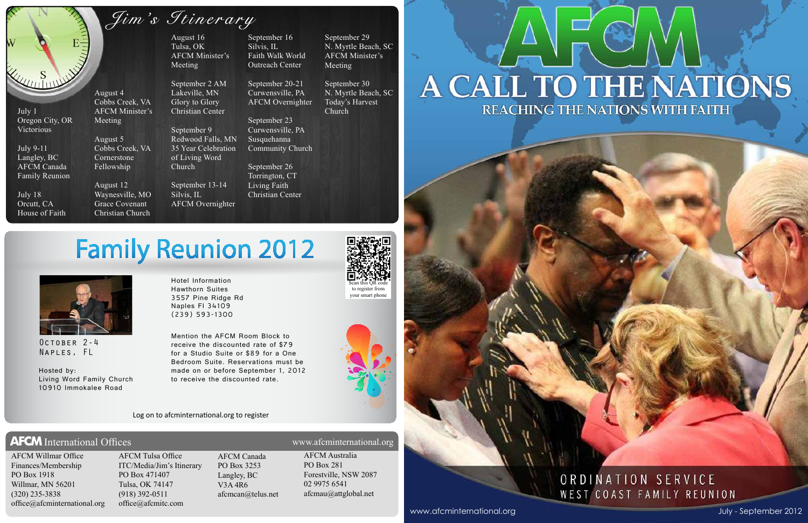

ORDINATION SERVICE WEST COAST FAMILY REUNION



OCTOBER 2-4 Naples, FL

Hosted by: Living Word Family Church 10910 Immokalee Road

Log on to afcminternational.org to register



# A CALL TO THE NATIONS REACHING THE NATIONS WITH FAITH





**AFCM** International Offices www.afcminternational.org

*Jim's Itinerary*



July 1 Oregon City, OR Victorious

July 9-11 Langley, BC AFCM Canada Family Reunion

July 18 Orcutt, CA House of Faith

August 4 Cobbs Creek, VA AFCM Minister's Meeting

August 5 Cobbs Creek, VA Cornerstone Fellowship

August 12 Waynesville, MO Grace Covenant Christian Church September 13-14 Silvis, IL AFCM Overnighter

September 9

August 16 Tulsa, OK AFCM Minister's Meeting September 16 Silvis, IL Faith Walk World Outreach Center

of Living Word

Church

September 2 AM Lakeville, MN Glory to Glory Christian Center September 20-21 Curwensville, PA AFCM Overnighter

Redwood Falls, MN 35 Year Celebration September 23 Curwensville, PA Susquehanna Community Church

September 26 Torrington, CT Living Faith

Christian Center

September 29

N. Myrtle Beach, SC

AFCM Minister's Meeting September 30

N. Myrtle Beach, SC Today's Harvest Church

**Family Reunion 2012** 

AFCM Willmar Office Finances/Membership PO Box 1918 Willmar, MN 56201 (320) 235-3838 office@afcminternational.org

AFCM Tulsa Office ITC/Media/Jim's Itinerary PO Box 471407 Tulsa, OK 74147 (918) 392-0511 office@afcmitc.com

AFCM Canada PO Box 3253 Langley, BC V3A 4R6 afcmcan@telus.net

AFCM Australia PO Box 281 Forestville, NSW 2087 02 9975 6541 afcmau@attglobal.net

Hotel Information Hawthorn Suites 3557 Pine Ridge Rd Naples Fl 34109 (239) 593-1300

Mention the AFCM Room Block to receive the discounted rate of \$79 for a Studio Suite or \$89 for a One Bedroom Suite. Reservations must be made on or before September 1, 2012 to receive the discounted rate.